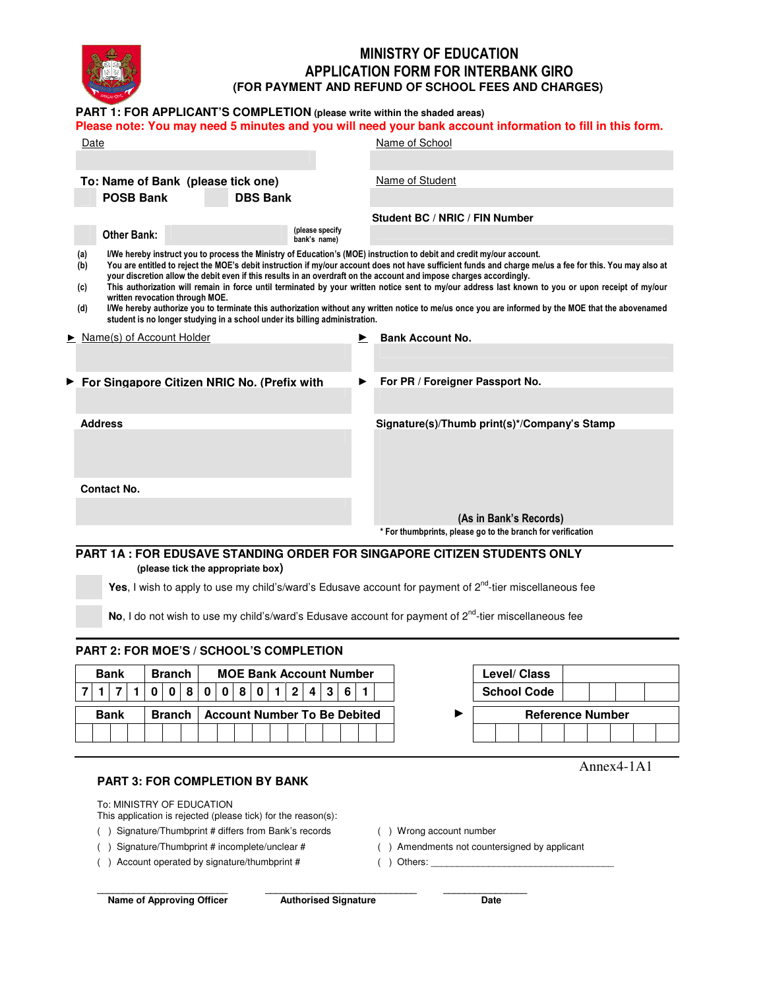

# MINISTRY OF EDUCATION APPLICATION FORM FOR INTERBANK GIRO **(FOR PAYMENT AND REFUND OF SCHOOL FEES AND CHARGES)**

#### **PART 1: FOR APPLICANT'S COMPLETION (please write within the shaded areas)**

#### **Please note: You may need 5 minutes and you will need your bank account information to fill in this form.**

| Name of Student<br>To: Name of Bank (please tick one)<br><b>POSB Bank</b><br><b>DBS Bank</b><br>Student BC / NRIC / FIN Number<br>(please specify<br>Other Bank:<br>bank's name)<br>(a)<br>I/We hereby instruct you to process the Ministry of Education's (MOE) instruction to debit and credit my/our account.<br>You are entitled to reject the MOE's debit instruction if my/our account does not have sufficient funds and charge me/us a fee for this. You may also at<br>(b)<br>your discretion allow the debit even if this results in an overdraft on the account and impose charges accordingly.<br>This authorization will remain in force until terminated by your written notice sent to my/our address last known to you or upon receipt of my/our<br>(c)<br>written revocation through MOE.<br>I/We hereby authorize you to terminate this authorization without any written notice to me/us once you are informed by the MOE that the abovenamed<br>(d)<br>student is no longer studying in a school under its billing administration.<br>$\blacktriangleright$ Name(s) of Account Holder<br><b>Bank Account No.</b><br>▶<br>For PR / Foreigner Passport No.<br>For Singapore Citizen NRIC No. (Prefix with<br>▶<br><b>Address</b><br>Signature(s)/Thumb print(s)*/Company's Stamp<br><b>Contact No.</b> | Date |  |  |  | Name of School |  |  |  |  |  |  |  |
|--------------------------------------------------------------------------------------------------------------------------------------------------------------------------------------------------------------------------------------------------------------------------------------------------------------------------------------------------------------------------------------------------------------------------------------------------------------------------------------------------------------------------------------------------------------------------------------------------------------------------------------------------------------------------------------------------------------------------------------------------------------------------------------------------------------------------------------------------------------------------------------------------------------------------------------------------------------------------------------------------------------------------------------------------------------------------------------------------------------------------------------------------------------------------------------------------------------------------------------------------------------------------------------------------------------------------|------|--|--|--|----------------|--|--|--|--|--|--|--|
|                                                                                                                                                                                                                                                                                                                                                                                                                                                                                                                                                                                                                                                                                                                                                                                                                                                                                                                                                                                                                                                                                                                                                                                                                                                                                                                          |      |  |  |  |                |  |  |  |  |  |  |  |
|                                                                                                                                                                                                                                                                                                                                                                                                                                                                                                                                                                                                                                                                                                                                                                                                                                                                                                                                                                                                                                                                                                                                                                                                                                                                                                                          |      |  |  |  |                |  |  |  |  |  |  |  |
|                                                                                                                                                                                                                                                                                                                                                                                                                                                                                                                                                                                                                                                                                                                                                                                                                                                                                                                                                                                                                                                                                                                                                                                                                                                                                                                          |      |  |  |  |                |  |  |  |  |  |  |  |
|                                                                                                                                                                                                                                                                                                                                                                                                                                                                                                                                                                                                                                                                                                                                                                                                                                                                                                                                                                                                                                                                                                                                                                                                                                                                                                                          |      |  |  |  |                |  |  |  |  |  |  |  |
|                                                                                                                                                                                                                                                                                                                                                                                                                                                                                                                                                                                                                                                                                                                                                                                                                                                                                                                                                                                                                                                                                                                                                                                                                                                                                                                          |      |  |  |  |                |  |  |  |  |  |  |  |
|                                                                                                                                                                                                                                                                                                                                                                                                                                                                                                                                                                                                                                                                                                                                                                                                                                                                                                                                                                                                                                                                                                                                                                                                                                                                                                                          |      |  |  |  |                |  |  |  |  |  |  |  |
|                                                                                                                                                                                                                                                                                                                                                                                                                                                                                                                                                                                                                                                                                                                                                                                                                                                                                                                                                                                                                                                                                                                                                                                                                                                                                                                          |      |  |  |  |                |  |  |  |  |  |  |  |
|                                                                                                                                                                                                                                                                                                                                                                                                                                                                                                                                                                                                                                                                                                                                                                                                                                                                                                                                                                                                                                                                                                                                                                                                                                                                                                                          |      |  |  |  |                |  |  |  |  |  |  |  |
|                                                                                                                                                                                                                                                                                                                                                                                                                                                                                                                                                                                                                                                                                                                                                                                                                                                                                                                                                                                                                                                                                                                                                                                                                                                                                                                          |      |  |  |  |                |  |  |  |  |  |  |  |
|                                                                                                                                                                                                                                                                                                                                                                                                                                                                                                                                                                                                                                                                                                                                                                                                                                                                                                                                                                                                                                                                                                                                                                                                                                                                                                                          |      |  |  |  |                |  |  |  |  |  |  |  |
|                                                                                                                                                                                                                                                                                                                                                                                                                                                                                                                                                                                                                                                                                                                                                                                                                                                                                                                                                                                                                                                                                                                                                                                                                                                                                                                          |      |  |  |  |                |  |  |  |  |  |  |  |
|                                                                                                                                                                                                                                                                                                                                                                                                                                                                                                                                                                                                                                                                                                                                                                                                                                                                                                                                                                                                                                                                                                                                                                                                                                                                                                                          |      |  |  |  |                |  |  |  |  |  |  |  |
|                                                                                                                                                                                                                                                                                                                                                                                                                                                                                                                                                                                                                                                                                                                                                                                                                                                                                                                                                                                                                                                                                                                                                                                                                                                                                                                          |      |  |  |  |                |  |  |  |  |  |  |  |
|                                                                                                                                                                                                                                                                                                                                                                                                                                                                                                                                                                                                                                                                                                                                                                                                                                                                                                                                                                                                                                                                                                                                                                                                                                                                                                                          |      |  |  |  |                |  |  |  |  |  |  |  |
| (As in Bank's Records)<br>* For thumbprints, please go to the branch for verification                                                                                                                                                                                                                                                                                                                                                                                                                                                                                                                                                                                                                                                                                                                                                                                                                                                                                                                                                                                                                                                                                                                                                                                                                                    |      |  |  |  |                |  |  |  |  |  |  |  |
| <b>PART 1A : FOR EDUSAVE STANDING ORDER FOR SINGAPORE CITIZEN STUDENTS ONLY</b>                                                                                                                                                                                                                                                                                                                                                                                                                                                                                                                                                                                                                                                                                                                                                                                                                                                                                                                                                                                                                                                                                                                                                                                                                                          |      |  |  |  |                |  |  |  |  |  |  |  |

 **(please tick the appropriate box)**

**Yes**, I wish to apply to use my child's/ward's Edusave account for payment of 2<sup>nd</sup>-tier miscellaneous fee

No, I do not wish to use my child's/ward's Edusave account for payment of 2<sup>nd</sup>-tier miscellaneous fee

#### **PART 2: FOR MOE'S / SCHOOL'S COMPLETION**

| <b>Bank</b> | <b>Branch</b> | <b>MOE Bank Account Number</b>                                        | Level/ Class            |
|-------------|---------------|-----------------------------------------------------------------------|-------------------------|
| 717         |               | $0   0   8   0   0   8   0  $<br>$1 \vert 2 \vert$<br>$4 \mid 3 \mid$ | <b>School Code</b>      |
| <b>Bank</b> | <b>Branch</b> | <b>Account Number To Be Debited</b>                                   | <b>Reference Number</b> |
|             |               |                                                                       |                         |

#### **PART 3: FOR COMPLETION BY BANK**

To: MINISTRY OF EDUCATION

This application is rejected (please tick) for the reason(s):

( ) Signature/Thumbprint # differs from Bank's records ( ) Wrong account number

( ) Signature/Thumbprint # incomplete/unclear # ( ) Amendments not countersigned by applicant

() Account operated by signature/thumbprint # () Others:

**Name of Approving Officer Authorised Signature Date** 

**\_\_\_\_\_\_\_\_\_\_\_\_\_\_\_\_\_\_\_\_\_\_\_\_\_ \_\_\_\_\_\_\_\_\_\_\_\_\_\_\_\_\_\_\_\_\_\_\_\_\_\_\_\_\_ \_\_\_\_\_\_\_\_\_\_\_\_\_\_\_\_** 

Annex4-1A1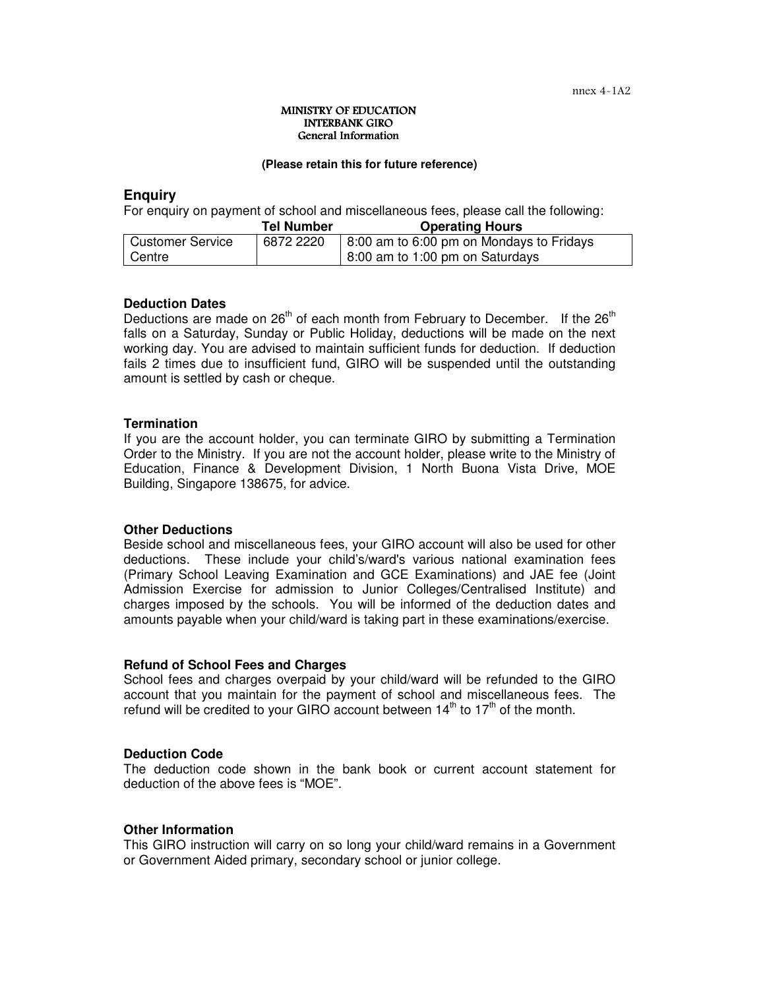#### MINISTRY OF EDUCATION INTERBANK GIRO General Information

#### **(Please retain this for future reference)**

# **Enquiry**

For enquiry on payment of school and miscellaneous fees, please call the following:

|                         | <b>Tel Number</b> | <b>Operating Hours</b>                   |
|-------------------------|-------------------|------------------------------------------|
| <b>Customer Service</b> | 6872 2220         | 8:00 am to 6:00 pm on Mondays to Fridays |
| Centre                  |                   | $\vert$ 8:00 am to 1:00 pm on Saturdays  |

#### **Deduction Dates**

Deductions are made on  $26<sup>th</sup>$  of each month from February to December. If the  $26<sup>th</sup>$ falls on a Saturday, Sunday or Public Holiday, deductions will be made on the next working day. You are advised to maintain sufficient funds for deduction. If deduction fails 2 times due to insufficient fund, GIRO will be suspended until the outstanding amount is settled by cash or cheque.

#### **Termination**

If you are the account holder, you can terminate GIRO by submitting a Termination Order to the Ministry. If you are not the account holder, please write to the Ministry of Education, Finance & Development Division, 1 North Buona Vista Drive, MOE Building, Singapore 138675, for advice.

## **Other Deductions**

Beside school and miscellaneous fees, your GIRO account will also be used for other deductions. These include your child's/ward's various national examination fees (Primary School Leaving Examination and GCE Examinations) and JAE fee (Joint Admission Exercise for admission to Junior Colleges/Centralised Institute) and charges imposed by the schools. You will be informed of the deduction dates and amounts payable when your child/ward is taking part in these examinations/exercise.

## **Refund of School Fees and Charges**

School fees and charges overpaid by your child/ward will be refunded to the GIRO account that you maintain for the payment of school and miscellaneous fees. The refund will be credited to your GIRO account between  $14<sup>th</sup>$  to  $17<sup>th</sup>$  of the month.

#### **Deduction Code**

The deduction code shown in the bank book or current account statement for deduction of the above fees is "MOE".

#### **Other Information**

This GIRO instruction will carry on so long your child/ward remains in a Government or Government Aided primary, secondary school or junior college.